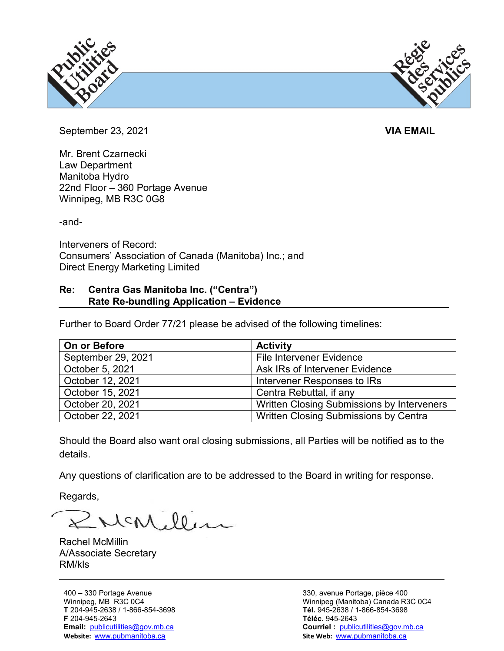



September 23, 2021 **VIA EMAIL**

Mr. Brent Czarnecki Law Department Manitoba Hydro 22nd Floor – 360 Portage Avenue Winnipeg, MB R3C 0G8

-and-

Interveners of Record: Consumers' Association of Canada (Manitoba) Inc.; and Direct Energy Marketing Limited

## **Re: Centra Gas Manitoba Inc. ("Centra") Rate Re-bundling Application – Evidence**

Further to Board Order 77/21 please be advised of the following timelines:

| On or Before       | <b>Activity</b>                            |
|--------------------|--------------------------------------------|
| September 29, 2021 | <b>File Intervener Evidence</b>            |
| October 5, 2021    | Ask IRs of Intervener Evidence             |
| October 12, 2021   | Intervener Responses to IRs                |
| October 15, 2021   | Centra Rebuttal, if any                    |
| October 20, 2021   | Written Closing Submissions by Interveners |
| October 22, 2021   | Written Closing Submissions by Centra      |

Should the Board also want oral closing submissions, all Parties will be notified as to the details.

Any questions of clarification are to be addressed to the Board in writing for response.

Regards,

McMiller

Rachel McMillin A/Associate Secretary RM/kls

400 – 330 Portage Avenue Winnipeg, MB R3C 0C4 **T** 204-945-2638 / 1-866-854-3698 **F** 204-945-2643 **Email:** [publicutilities@gov.mb.ca](mailto:publicutilities@gov.mb.ca) **Website:** [www.pubmanitoba.ca](http://www.pubmanitoba.ca/)

330, avenue Portage, pièce 400 Winnipeg (Manitoba) Canada R3C 0C4 **Tél.** 945-2638 / 1-866-854-3698 **Téléc.** 945-2643 **Courriel :** [publicutilities@gov.mb.ca](mailto:publicutilities@gov.mb.ca) **Site Web:** [www.pubmanitoba.ca](http://www.pubmanitoba.ca/)